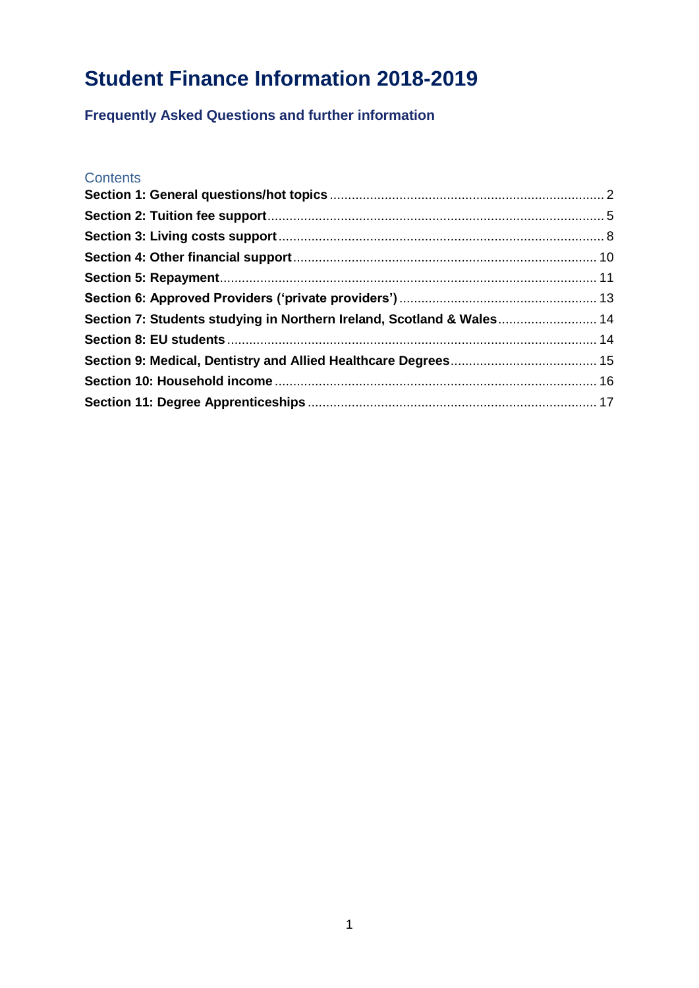# **Student Finance Information 2018-2019**

**Frequently Asked Questions and further information**

## **Contents**

| Section 7: Students studying in Northern Ireland, Scotland & Wales 14 |  |
|-----------------------------------------------------------------------|--|
|                                                                       |  |
|                                                                       |  |
|                                                                       |  |
|                                                                       |  |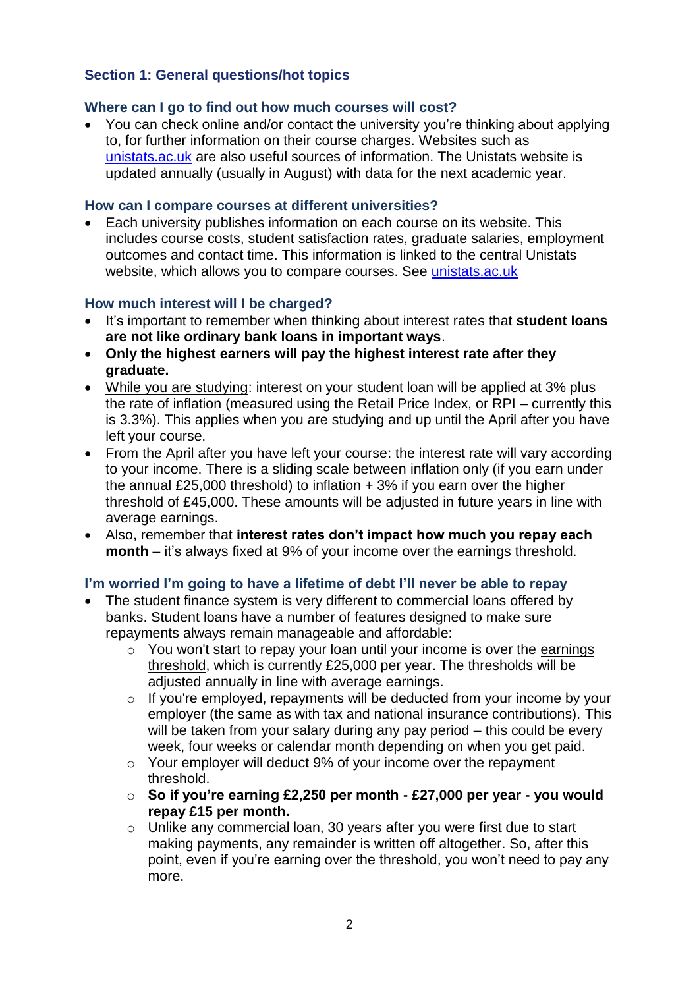# <span id="page-1-0"></span>**Section 1: General questions/hot topics**

# **Where can I go to find out how much courses will cost?**

• You can check online and/or contact the university you're thinking about applying to, for further information on their course charges. Websites such as unistats.ac.uk are also useful sources of information. The Unistats website is updated annually (usually in August) with data for the next academic year.

# **How can I compare courses at different universities?**

• Each university publishes information on each course on its website. This includes course costs, student satisfaction rates, graduate salaries, employment outcomes and contact time. This information is linked to the central Unistats website, which allows you to compare courses. See unistats.ac.uk

# **How much interest will I be charged?**

- It's important to remember when thinking about interest rates that **student loans are not like ordinary bank loans in important ways**.
- **Only the highest earners will pay the highest interest rate after they graduate.**
- While you are studying: interest on your student loan will be applied at 3% plus the rate of inflation (measured using the Retail Price Index, or RPI – currently this is 3.3%). This applies when you are studying and up until the April after you have left your course.
- From the April after you have left your course: the interest rate will vary according to your income. There is a sliding scale between inflation only (if you earn under the annual £25,000 threshold) to inflation + 3% if you earn over the higher threshold of £45,000. These amounts will be adjusted in future years in line with average earnings.
- Also, remember that **interest rates don't impact how much you repay each month** – it's always fixed at 9% of your income over the earnings threshold.

# **I'm worried I'm going to have a lifetime of debt I'll never be able to repay**

- The student finance system is very different to commercial loans offered by banks. Student loans have a number of features designed to make sure repayments always remain manageable and affordable:
	- o You won't start to repay your loan until your income is over the earnings threshold, which is currently £25,000 per year. The thresholds will be adjusted annually in line with average earnings.
	- o If you're employed, repayments will be deducted from your income by your employer (the same as with tax and national insurance contributions). This will be taken from your salary during any pay period – this could be every week, four weeks or calendar month depending on when you get paid.
	- o Your employer will deduct 9% of your income over the repayment threshold.
	- o **So if you're earning £2,250 per month - £27,000 per year - you would repay £15 per month.**
	- o Unlike any commercial loan, 30 years after you were first due to start making payments, any remainder is written off altogether. So, after this point, even if you're earning over the threshold, you won't need to pay any more.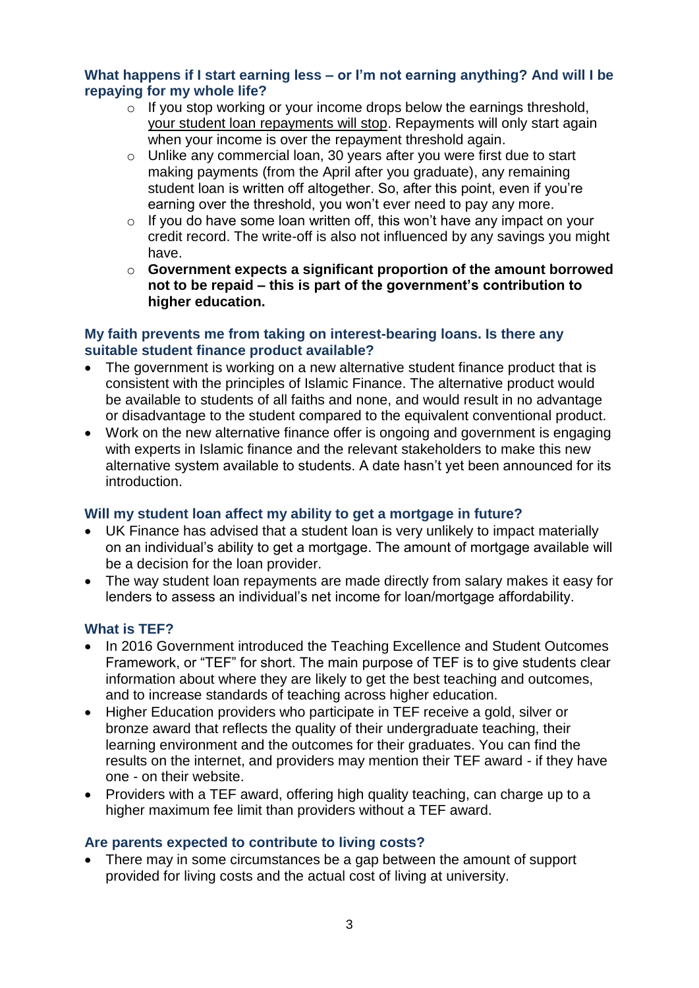# **What happens if I start earning less – or I'm not earning anything? And will I be repaying for my whole life?**

- o If you stop working or your income drops below the earnings threshold, your student loan repayments will stop. Repayments will only start again when your income is over the repayment threshold again.
- o Unlike any commercial loan, 30 years after you were first due to start making payments (from the April after you graduate), any remaining student loan is written off altogether. So, after this point, even if you're earning over the threshold, you won't ever need to pay any more.
- $\circ$  If you do have some loan written off, this won't have any impact on your credit record. The write-off is also not influenced by any savings you might have.
- o **Government expects a significant proportion of the amount borrowed not to be repaid – this is part of the government's contribution to higher education.**

### **My faith prevents me from taking on interest-bearing loans. Is there any suitable student finance product available?**

- The government is working on a new alternative student finance product that is consistent with the principles of Islamic Finance. The alternative product would be available to students of all faiths and none, and would result in no advantage or disadvantage to the student compared to the equivalent conventional product.
- Work on the new alternative finance offer is ongoing and government is engaging with experts in Islamic finance and the relevant stakeholders to make this new alternative system available to students. A date hasn't yet been announced for its introduction.

# **Will my student loan affect my ability to get a mortgage in future?**

- UK Finance has advised that a student loan is very unlikely to impact materially on an individual's ability to get a mortgage. The amount of mortgage available will be a decision for the loan provider.
- The way student loan repayments are made directly from salary makes it easy for lenders to assess an individual's net income for loan/mortgage affordability.

# **What is TEF?**

- In 2016 Government introduced the Teaching Excellence and Student Outcomes Framework, or "TEF" for short. The main purpose of TEF is to give students clear information about where they are likely to get the best teaching and outcomes, and to increase standards of teaching across higher education.
- Higher Education providers who participate in TEF receive a gold, silver or bronze award that reflects the quality of their undergraduate teaching, their learning environment and the outcomes for their graduates. You can find the results on the internet, and providers may mention their TEF award - if they have one - on their website.
- Providers with a TEF award, offering high quality teaching, can charge up to a higher maximum fee limit than providers without a TEF award.

### **Are parents expected to contribute to living costs?**

• There may in some circumstances be a gap between the amount of support provided for living costs and the actual cost of living at university.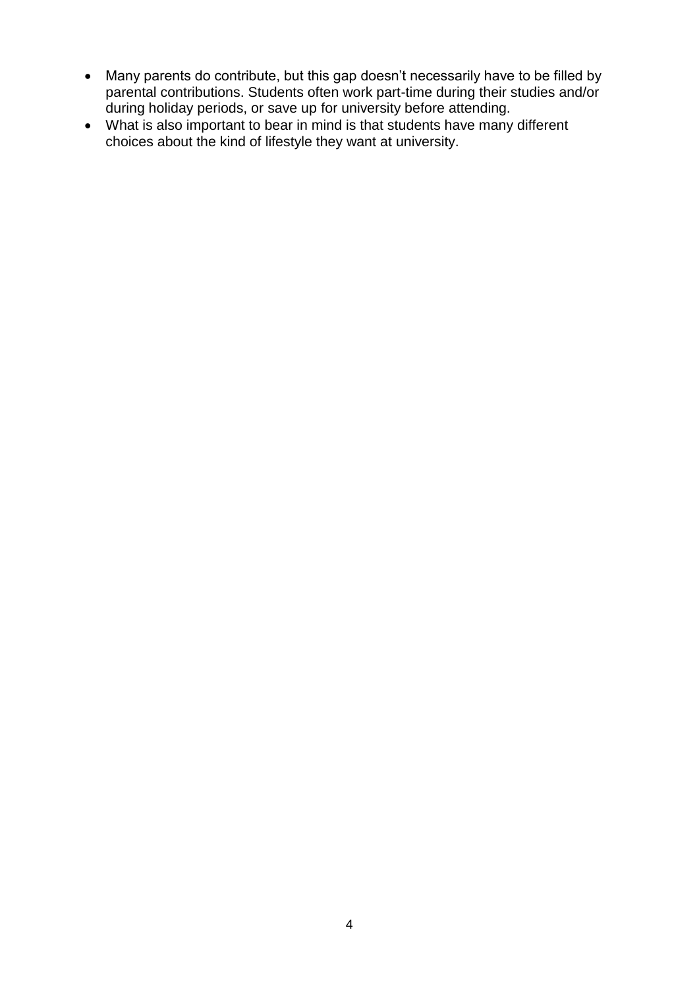- Many parents do contribute, but this gap doesn't necessarily have to be filled by parental contributions. Students often work part-time during their studies and/or during holiday periods, or save up for university before attending.
- What is also important to bear in mind is that students have many different choices about the kind of lifestyle they want at university.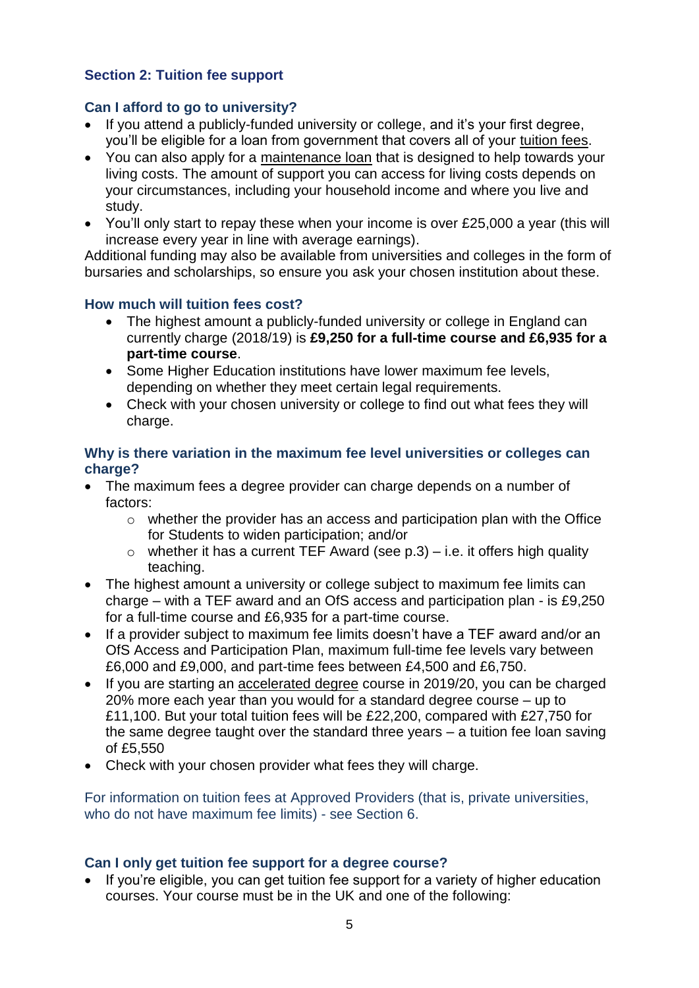# <span id="page-4-0"></span>**Section 2: Tuition fee support**

# **Can I afford to go to university?**

- If you attend a publicly-funded university or college, and it's your first degree, you'll be eligible for a loan from government that covers all of your tuition fees.
- You can also apply for a maintenance loan that is designed to help towards your living costs. The amount of support you can access for living costs depends on your circumstances, including your household income and where you live and study.
- You'll only start to repay these when your income is over £25,000 a year (this will increase every year in line with average earnings).

Additional funding may also be available from universities and colleges in the form of bursaries and scholarships, so ensure you ask your chosen institution about these.

### **How much will tuition fees cost?**

- The highest amount a publicly-funded university or college in England can currently charge (2018/19) is **£9,250 for a full-time course and £6,935 for a part-time course**.
- Some Higher Education institutions have lower maximum fee levels, depending on whether they meet certain legal requirements.
- Check with your chosen university or college to find out what fees they will charge.

# **Why is there variation in the maximum fee level universities or colleges can charge?**

- The maximum fees a degree provider can charge depends on a number of factors:
	- o whether the provider has an access and participation plan with the Office for Students to widen participation; and/or
	- $\circ$  whether it has a current TEF Award (see p.3) i.e. it offers high quality teaching.
- The highest amount a university or college subject to maximum fee limits can charge – with a TEF award and an OfS access and participation plan - is £9,250 for a full-time course and £6,935 for a part-time course.
- If a provider subject to maximum fee limits doesn't have a TEF award and/or an OfS Access and Participation Plan, maximum full-time fee levels vary between £6,000 and £9,000, and part-time fees between £4,500 and £6,750.
- If you are starting an accelerated degree course in 2019/20, you can be charged 20% more each year than you would for a standard degree course – up to £11,100. But your total tuition fees will be £22,200, compared with £27,750 for the same degree taught over the standard three years – a tuition fee loan saving of £5,550
- Check with your chosen provider what fees they will charge.

For information on tuition fees at Approved Providers (that is, private universities, who do not have maximum fee limits) - see Section 6.

# **Can I only get tuition fee support for a degree course?**

• If you're eligible, you can get tuition fee support for a variety of higher education courses. Your course must be in the UK and one of the following: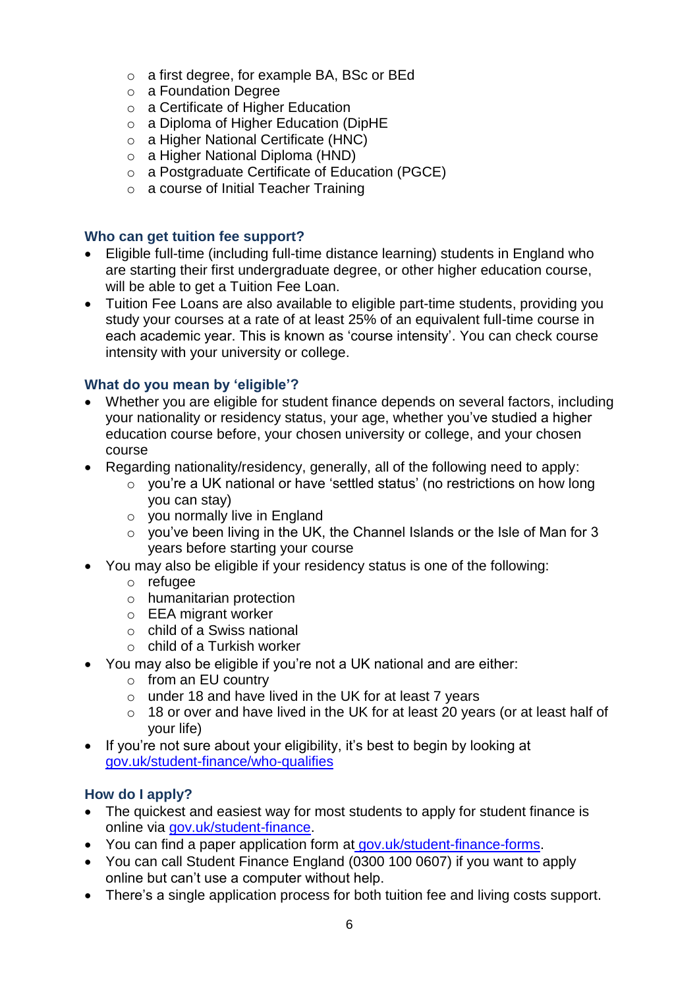- o a first degree, for example BA, BSc or BEd
- o a Foundation Degree
- o a Certificate of Higher Education
- o a Diploma of Higher Education (DipHE
- o a Higher National Certificate (HNC)
- o a Higher National Diploma (HND)
- o a Postgraduate Certificate of Education (PGCE)
- o a course of Initial Teacher Training

# **Who can get tuition fee support?**

- Eligible full-time (including full-time distance learning) students in England who are starting their first undergraduate degree, or other higher education course, will be able to get a Tuition Fee Loan.
- Tuition Fee Loans are also available to eligible part-time students, providing you study your courses at a rate of at least 25% of an equivalent full-time course in each academic year. This is known as 'course intensity'. You can check course intensity with your university or college.

# **What do you mean by 'eligible'?**

- Whether you are eligible for student finance depends on several factors, including your nationality or residency status, your age, whether you've studied a higher education course before, your chosen university or college, and your chosen course
- Regarding nationality/residency, generally, all of the following need to apply:
	- $\sim$  vou're a UK national or have 'settled status' (no restrictions on how long you can stay)
	- o you normally live in England
	- o you've been living in the UK, the Channel Islands or the Isle of Man for 3 years before starting your course
- You may also be eligible if your residency status is one of the following:
	- o refugee
	- o humanitarian protection
	- o EEA migrant worker
	- o child of a Swiss national
	- o child of a Turkish worker
- You may also be eligible if you're not a UK national and are either:
	- o from an EU country
	- o under 18 and have lived in the UK for at least 7 years
	- o 18 or over and have lived in the UK for at least 20 years (or at least half of your life)
- If you're not sure about your eligibility, it's best to begin by looking at [gov.uk/student-finance/who-qualifies](http://gov.uk/student-finance/who-qualifies)

# **How do I apply?**

- The quickest and easiest way for most students to apply for student finance is online via [gov.uk/student-finance.](http://gov.uk/studentfinance)
- You can find a paper application form at gov.uk/student-finance-forms.
- You can call Student Finance England (0300 100 0607) if you want to apply online but can't use a computer without help.
- There's a single application process for both tuition fee and living costs support.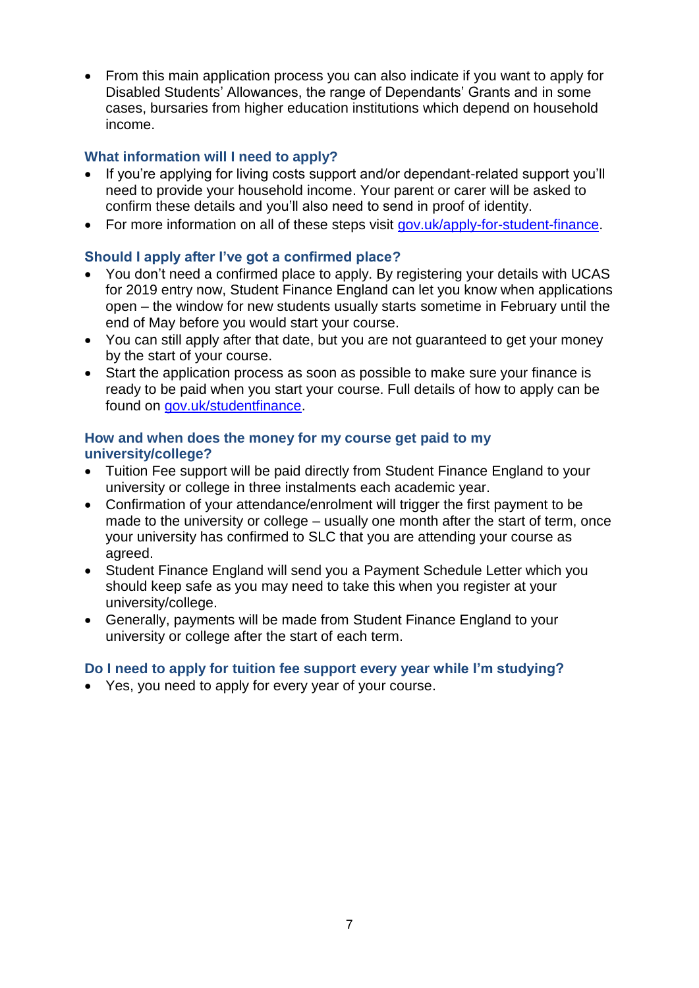• From this main application process you can also indicate if you want to apply for Disabled Students' Allowances, the range of Dependants' Grants and in some cases, bursaries from higher education institutions which depend on household income.

# **What information will I need to apply?**

- If you're applying for living costs support and/or dependant-related support you'll need to provide your household income. Your parent or carer will be asked to confirm these details and you'll also need to send in proof of identity.
- For more information on all of these steps visit [gov.uk/apply-for-student-finance.](gov.uk/apply-for-student-finance)

# **Should I apply after I've got a confirmed place?**

- You don't need a confirmed place to apply. By registering your details with UCAS for 2019 entry now, Student Finance England can let you know when applications open – the window for new students usually starts sometime in February until the end of May before you would start your course.
- You can still apply after that date, but you are not guaranteed to get your money by the start of your course.
- Start the application process as soon as possible to make sure your finance is ready to be paid when you start your course. Full details of how to apply can be found on [gov.uk/studentfinance.](http://gov.uk/studentfinance)

# **How and when does the money for my course get paid to my university/college?**

- Tuition Fee support will be paid directly from Student Finance England to your university or college in three instalments each academic year.
- Confirmation of your attendance/enrolment will trigger the first payment to be made to the university or college – usually one month after the start of term, once your university has confirmed to SLC that you are attending your course as agreed.
- Student Finance England will send you a Payment Schedule Letter which you should keep safe as you may need to take this when you register at your university/college.
- Generally, payments will be made from Student Finance England to your university or college after the start of each term.

# **Do I need to apply for tuition fee support every year while I'm studying?**

• Yes, you need to apply for every year of your course.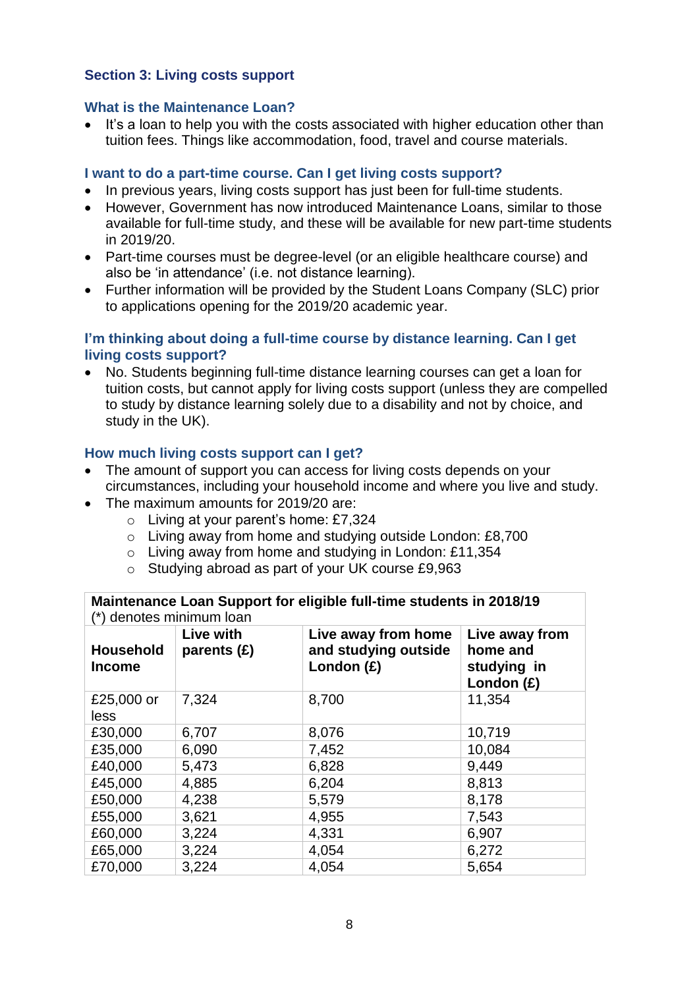# <span id="page-7-0"></span>**Section 3: Living costs support**

### **What is the Maintenance Loan?**

• It's a loan to help you with the costs associated with higher education other than tuition fees. Things like accommodation, food, travel and course materials.

### **I want to do a part-time course. Can I get living costs support?**

- In previous years, living costs support has just been for full-time students.
- However, Government has now introduced Maintenance Loans, similar to those available for full-time study, and these will be available for new part-time students in 2019/20.
- Part-time courses must be degree-level (or an eligible healthcare course) and also be 'in attendance' (i.e. not distance learning).
- Further information will be provided by the Student Loans Company (SLC) prior to applications opening for the 2019/20 academic year.

### **I'm thinking about doing a full-time course by distance learning. Can I get living costs support?**

• No. Students beginning full-time distance learning courses can get a loan for tuition costs, but cannot apply for living costs support (unless they are compelled to study by distance learning solely due to a disability and not by choice, and study in the UK).

### **How much living costs support can I get?**

- The amount of support you can access for living costs depends on your circumstances, including your household income and where you live and study.
- The maximum amounts for 2019/20 are:
	- o Living at your parent's home: £7,324
	- o Living away from home and studying outside London: £8,700
	- o Living away from home and studying in London: £11,354
	- o Studying abroad as part of your UK course £9,963

**Maintenance Loan Support for eligible full-time students in 2018/19** (\*) denotes minimum loan

| <b>Household</b><br><b>Income</b> | Live with<br>parents (£) | Live away from home<br>and studying outside<br>London $(E)$ | Live away from<br>home and<br>studying in<br>London $(E)$ |
|-----------------------------------|--------------------------|-------------------------------------------------------------|-----------------------------------------------------------|
| £25,000 or<br>less                | 7,324                    | 8,700                                                       | 11,354                                                    |
| £30,000                           | 6,707                    | 8,076                                                       | 10,719                                                    |
| £35,000                           | 6,090                    | 7,452                                                       | 10,084                                                    |
| £40,000                           | 5,473                    | 6,828                                                       | 9,449                                                     |
| £45,000                           | 4,885                    | 6,204                                                       | 8,813                                                     |
| £50,000                           | 4,238                    | 5,579                                                       | 8,178                                                     |
| £55,000                           | 3,621                    | 4,955                                                       | 7,543                                                     |
| £60,000                           | 3,224                    | 4,331                                                       | 6,907                                                     |
| £65,000                           | 3,224                    | 4,054                                                       | 6,272                                                     |
| £70,000                           | 3,224                    | 4,054                                                       | 5,654                                                     |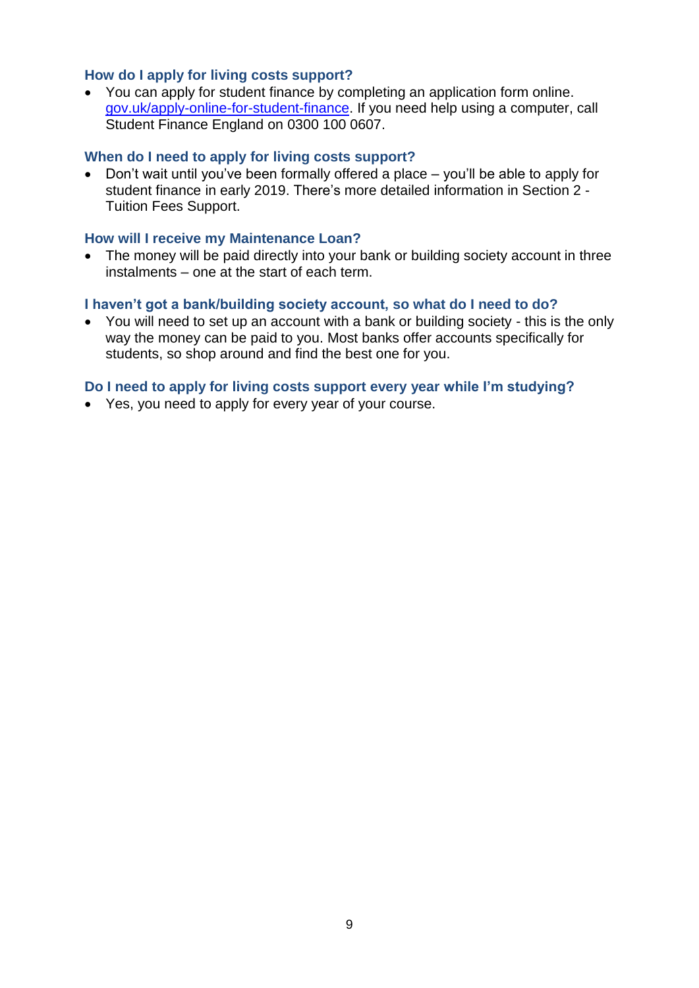### **How do I apply for living costs support?**

• You can apply for student finance by completing an application form online. [gov.uk/apply-online-for-student-finance.](http://gov.uk/apply-online-for-student-finance) If you need help using a computer, call Student Finance England on 0300 100 0607.

### **When do I need to apply for living costs support?**

• Don't wait until you've been formally offered a place – you'll be able to apply for student finance in early 2019. There's more detailed information in Section 2 - Tuition Fees Support.

#### **How will I receive my Maintenance Loan?**

• The money will be paid directly into your bank or building society account in three instalments – one at the start of each term.

#### **I haven't got a bank/building society account, so what do I need to do?**

• You will need to set up an account with a bank or building society - this is the only way the money can be paid to you. Most banks offer accounts specifically for students, so shop around and find the best one for you.

### **Do I need to apply for living costs support every year while I'm studying?**

• Yes, you need to apply for every year of your course.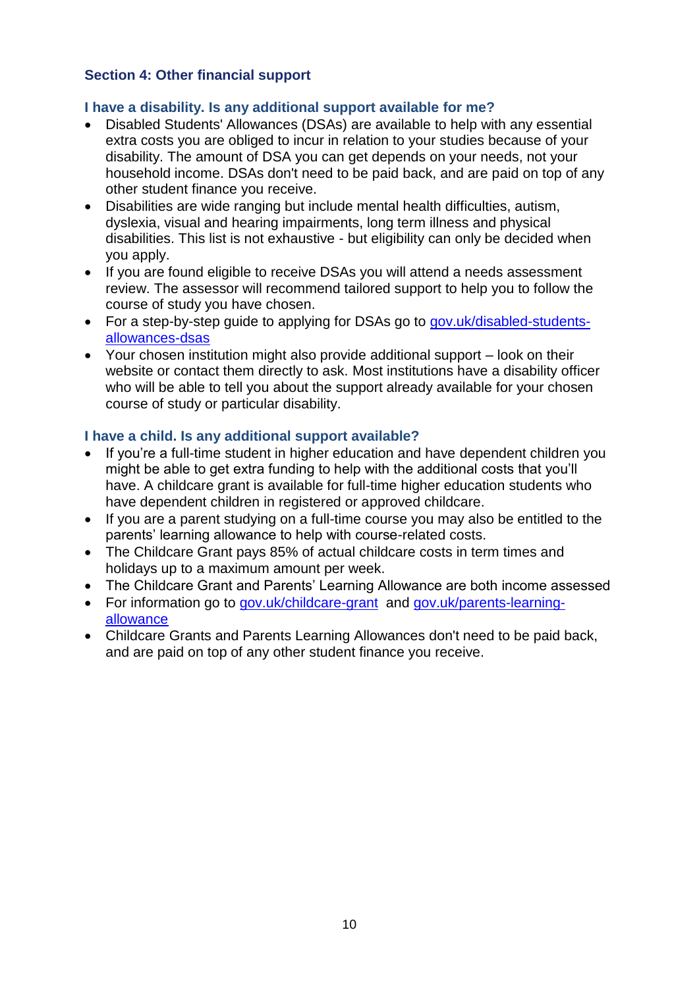# <span id="page-9-0"></span>**Section 4: Other financial support**

# **I have a disability. Is any additional support available for me?**

- Disabled Students' Allowances (DSAs) are available to help with any essential extra costs you are obliged to incur in relation to your studies because of your disability. The amount of DSA you can get depends on your needs, not your household income. DSAs don't need to be paid back, and are paid on top of any other student finance you receive.
- Disabilities are wide ranging but include mental health difficulties, autism, dyslexia, visual and hearing impairments, long term illness and physical disabilities. This list is not exhaustive - but eligibility can only be decided when you apply.
- If you are found eligible to receive DSAs you will attend a needs assessment review. The assessor will recommend tailored support to help you to follow the course of study you have chosen.
- For a step-by-step guide to applying for DSAs go to [gov.uk/disabled-students](http://gov.uk/disabled-students-allowances-dsas)[allowances-dsas](http://gov.uk/disabled-students-allowances-dsas)
- Your chosen institution might also provide additional support look on their website or contact them directly to ask. Most institutions have a disability officer who will be able to tell you about the support already available for your chosen course of study or particular disability.

# **I have a child. Is any additional support available?**

- If you're a full-time student in higher education and have dependent children you might be able to get extra funding to help with the additional costs that you'll have. A childcare grant is available for full-time higher education students who have dependent children in registered or approved childcare.
- If you are a parent studying on a full-time course you may also be entitled to the parents' learning allowance to help with course-related costs.
- The Childcare Grant pays 85% of actual childcare costs in term times and holidays up to a maximum amount per week.
- The Childcare Grant and Parents' Learning Allowance are both income assessed
- For information go to [gov.uk/childcare-grant](http://gov.uk/childcare-grant) and [gov.uk/parents-learning](http://gov.uk/parents-learning-allowance)[allowance](http://gov.uk/parents-learning-allowance)
- Childcare Grants and Parents Learning Allowances don't need to be paid back, and are paid on top of any other student finance you receive.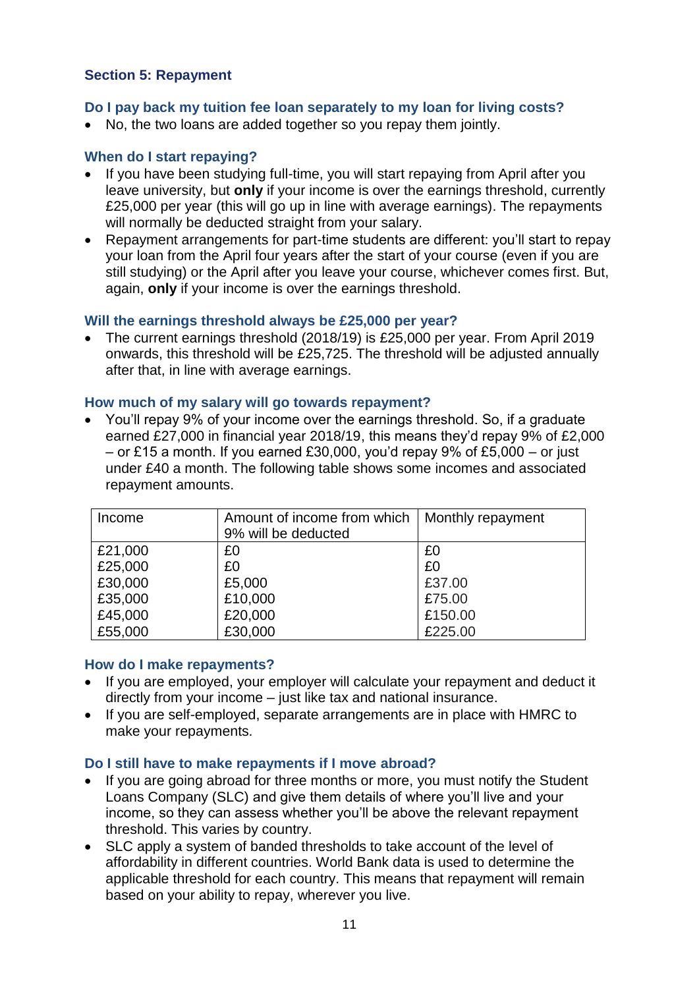# <span id="page-10-0"></span>**Section 5: Repayment**

### **Do I pay back my tuition fee loan separately to my loan for living costs?**

• No, the two loans are added together so you repay them jointly.

# **When do I start repaying?**

- If you have been studying full-time, you will start repaying from April after you leave university, but **only** if your income is over the earnings threshold, currently £25,000 per year (this will go up in line with average earnings). The repayments will normally be deducted straight from your salary.
- Repayment arrangements for part-time students are different: you'll start to repay your loan from the April four years after the start of your course (even if you are still studying) or the April after you leave your course, whichever comes first. But, again, **only** if your income is over the earnings threshold.

#### **Will the earnings threshold always be £25,000 per year?**

• The current earnings threshold (2018/19) is £25,000 per year. From April 2019 onwards, this threshold will be £25,725. The threshold will be adjusted annually after that, in line with average earnings.

#### **How much of my salary will go towards repayment?**

• You'll repay 9% of your income over the earnings threshold. So, if a graduate earned £27,000 in financial year 2018/19, this means they'd repay 9% of £2,000 – or £15 a month. If you earned £30,000, you'd repay 9% of £5,000 – or just under £40 a month. The following table shows some incomes and associated repayment amounts.

| Income  | Amount of income from which<br>9% will be deducted | Monthly repayment |
|---------|----------------------------------------------------|-------------------|
| £21,000 | £0                                                 | £0                |
| £25,000 | £0                                                 | £0                |
| £30,000 | £5,000                                             | £37.00            |
| £35,000 | £10,000                                            | £75.00            |
| £45,000 | £20,000                                            | £150.00           |
| £55,000 | £30,000                                            | £225.00           |

#### **How do I make repayments?**

- If you are employed, your employer will calculate your repayment and deduct it directly from your income – just like tax and national insurance.
- If you are self-employed, separate arrangements are in place with HMRC to make your repayments.

#### **Do I still have to make repayments if I move abroad?**

- If you are going abroad for three months or more, you must notify the Student Loans Company (SLC) and give them details of where you'll live and your income, so they can assess whether you'll be above the relevant repayment threshold. This varies by country.
- SLC apply a system of banded thresholds to take account of the level of affordability in different countries. World Bank data is used to determine the applicable threshold for each country. This means that repayment will remain based on your ability to repay, wherever you live.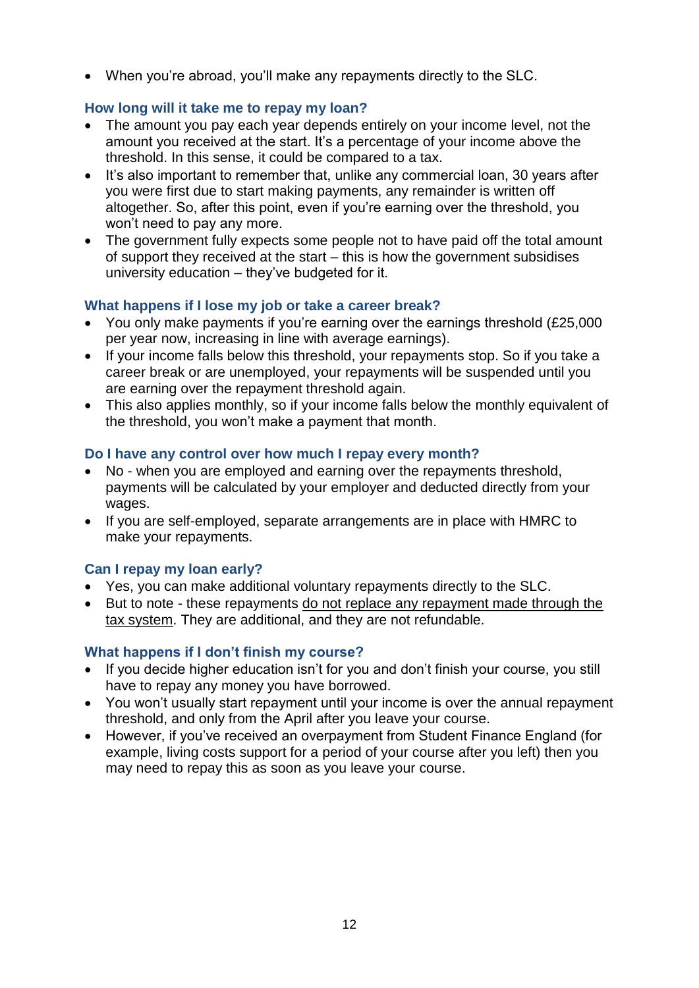• When you're abroad, you'll make any repayments directly to the SLC.

# **How long will it take me to repay my loan?**

- The amount you pay each year depends entirely on your income level, not the amount you received at the start. It's a percentage of your income above the threshold. In this sense, it could be compared to a tax.
- It's also important to remember that, unlike any commercial loan, 30 years after you were first due to start making payments, any remainder is written off altogether. So, after this point, even if you're earning over the threshold, you won't need to pay any more.
- The government fully expects some people not to have paid off the total amount of support they received at the start – this is how the government subsidises university education – they've budgeted for it.

# **What happens if I lose my job or take a career break?**

- You only make payments if you're earning over the earnings threshold (£25,000 per year now, increasing in line with average earnings).
- If your income falls below this threshold, your repayments stop. So if you take a career break or are unemployed, your repayments will be suspended until you are earning over the repayment threshold again.
- This also applies monthly, so if your income falls below the monthly equivalent of the threshold, you won't make a payment that month.

### **Do I have any control over how much I repay every month?**

- No when you are employed and earning over the repayments threshold, payments will be calculated by your employer and deducted directly from your wages.
- If you are self-employed, separate arrangements are in place with HMRC to make your repayments.

# **Can I repay my loan early?**

- Yes, you can make additional voluntary repayments directly to the SLC.
- But to note these repayments do not replace any repayment made through the tax system. They are additional, and they are not refundable.

### **What happens if I don't finish my course?**

- If you decide higher education isn't for you and don't finish your course, you still have to repay any money you have borrowed.
- You won't usually start repayment until your income is over the annual repayment threshold, and only from the April after you leave your course.
- However, if you've received an overpayment from Student Finance England (for example, living costs support for a period of your course after you left) then you may need to repay this as soon as you leave your course.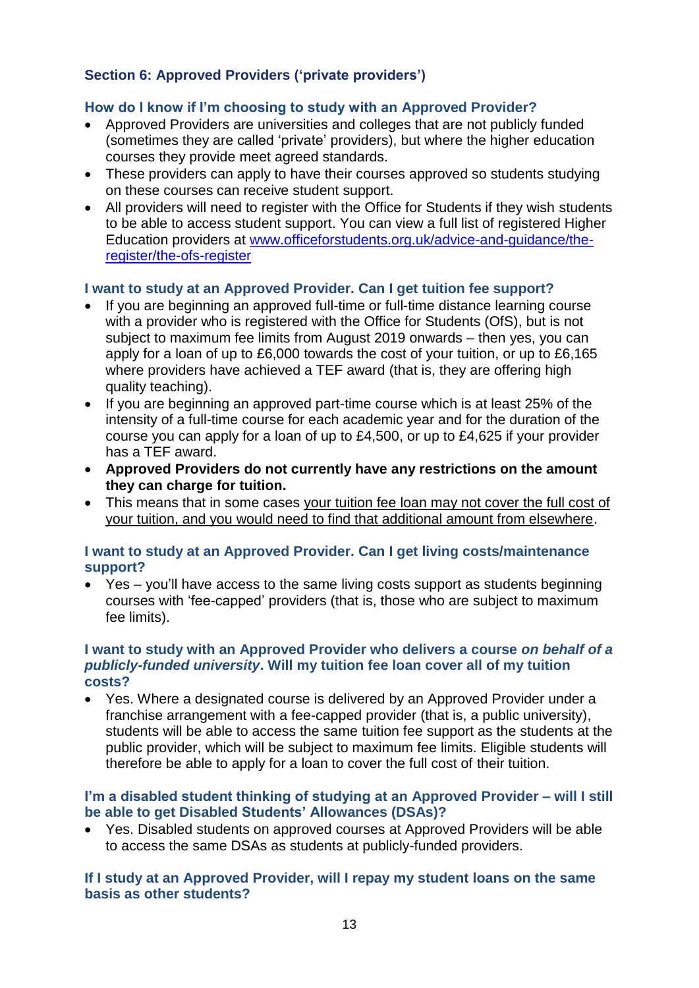# <span id="page-12-0"></span>**Section 6: Approved Providers ('private providers')**

# **How do I know if I'm choosing to study with an Approved Provider?**

- Approved Providers are universities and colleges that are not publicly funded (sometimes they are called 'private' providers), but where the higher education courses they provide meet agreed standards.
- These providers can apply to have their courses approved so students studying on these courses can receive student support.
- All providers will need to register with the Office for Students if they wish students to be able to access student support. You can view a full list of registered Higher Education providers at www.officeforstudents.org.uk/advice-and-guidance/theregister/the-ofs-register

# **I want to study at an Approved Provider. Can I get tuition fee support?**

- If you are beginning an approved full-time or full-time distance learning course with a provider who is registered with the Office for Students (OfS), but is not subject to maximum fee limits from August 2019 onwards – then yes, you can apply for a loan of up to £6,000 towards the cost of your tuition, or up to £6,165 where providers have achieved a TEF award (that is, they are offering high quality teaching).
- If you are beginning an approved part-time course which is at least 25% of the intensity of a full-time course for each academic year and for the duration of the course you can apply for a loan of up to £4,500, or up to £4,625 if your provider has a TEF award.
- **Approved Providers do not currently have any restrictions on the amount they can charge for tuition.**
- This means that in some cases your tuition fee loan may not cover the full cost of your tuition, and you would need to find that additional amount from elsewhere.

#### **I want to study at an Approved Provider. Can I get living costs/maintenance support?**

• Yes – you'll have access to the same living costs support as students beginning courses with 'fee-capped' providers (that is, those who are subject to maximum fee limits).

#### **I want to study with an Approved Provider who delivers a course** *on behalf of a publicly-funded university***. Will my tuition fee loan cover all of my tuition costs?**

• Yes. Where a designated course is delivered by an Approved Provider under a franchise arrangement with a fee-capped provider (that is, a public university), students will be able to access the same tuition fee support as the students at the public provider, which will be subject to maximum fee limits. Eligible students will therefore be able to apply for a loan to cover the full cost of their tuition.

### **I'm a disabled student thinking of studying at an Approved Provider – will I still be able to get Disabled Students' Allowances (DSAs)?**

• Yes. Disabled students on approved courses at Approved Providers will be able to access the same DSAs as students at publicly-funded providers.

# **If I study at an Approved Provider, will I repay my student loans on the same basis as other students?**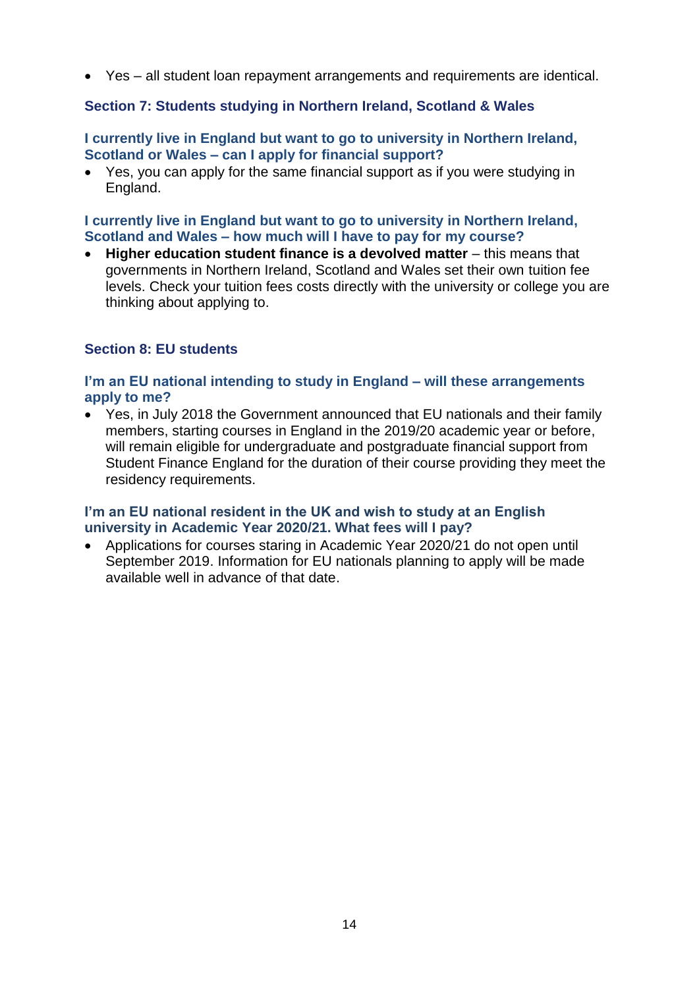• Yes – all student loan repayment arrangements and requirements are identical.

# <span id="page-13-0"></span>**Section 7: Students studying in Northern Ireland, Scotland & Wales**

### **I currently live in England but want to go to university in Northern Ireland, Scotland or Wales – can I apply for financial support?**

• Yes, you can apply for the same financial support as if you were studying in England.

### **I currently live in England but want to go to university in Northern Ireland, Scotland and Wales – how much will I have to pay for my course?**

• **Higher education student finance is a devolved matter** – this means that governments in Northern Ireland, Scotland and Wales set their own tuition fee levels. Check your tuition fees costs directly with the university or college you are thinking about applying to.

# <span id="page-13-1"></span>**Section 8: EU students**

### **I'm an EU national intending to study in England – will these arrangements apply to me?**

• Yes, in July 2018 the Government announced that EU nationals and their family members, starting courses in England in the 2019/20 academic year or before, will remain eligible for undergraduate and postgraduate financial support from Student Finance England for the duration of their course providing they meet the residency requirements.

# **I'm an EU national resident in the UK and wish to study at an English university in Academic Year 2020/21. What fees will I pay?**

• Applications for courses staring in Academic Year 2020/21 do not open until September 2019. Information for EU nationals planning to apply will be made available well in advance of that date.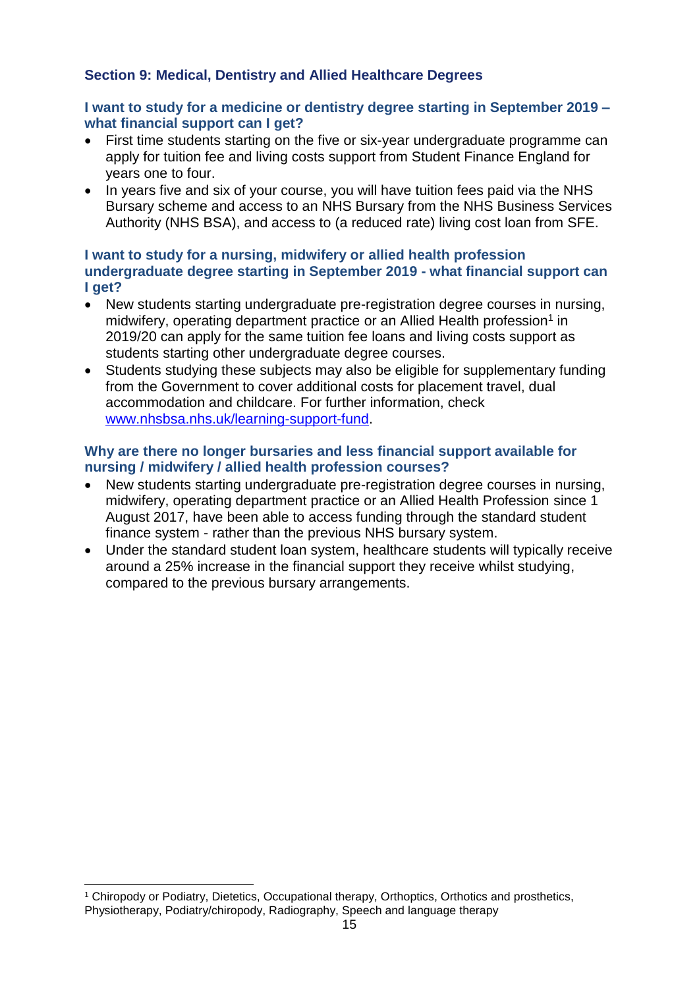# <span id="page-14-0"></span>**Section 9: Medical, Dentistry and Allied Healthcare Degrees**

# **I want to study for a medicine or dentistry degree starting in September 2019 – what financial support can I get?**

- First time students starting on the five or six-year undergraduate programme can apply for tuition fee and living costs support from Student Finance England for years one to four.
- In years five and six of your course, you will have tuition fees paid via the NHS Bursary scheme and access to an NHS Bursary from the NHS Business Services Authority (NHS BSA), and access to (a reduced rate) living cost loan from SFE.

# **I want to study for a nursing, midwifery or allied health profession undergraduate degree starting in September 2019 - what financial support can I get?**

- New students starting undergraduate pre-registration degree courses in nursing, midwifery, operating department practice or an Allied Health profession<sup>1</sup> in 2019/20 can apply for the same tuition fee loans and living costs support as students starting other undergraduate degree courses.
- Students studying these subjects may also be eligible for supplementary funding from the Government to cover additional costs for placement travel, dual accommodation and childcare. For further information, check [www.nhsbsa.nhs.uk/learning-support-fund.](http://www.nhsbsa.nhs.uk/learning-support-fund)

# **Why are there no longer bursaries and less financial support available for nursing / midwifery / allied health profession courses?**

- New students starting undergraduate pre-registration degree courses in nursing, midwifery, operating department practice or an Allied Health Profession since 1 August 2017, have been able to access funding through the standard student finance system - rather than the previous NHS bursary system.
- Under the standard student loan system, healthcare students will typically receive around a 25% increase in the financial support they receive whilst studying, compared to the previous bursary arrangements.

-

<sup>1</sup> Chiropody or Podiatry, Dietetics, Occupational therapy, Orthoptics, Orthotics and prosthetics, Physiotherapy, Podiatry/chiropody, Radiography, Speech and language therapy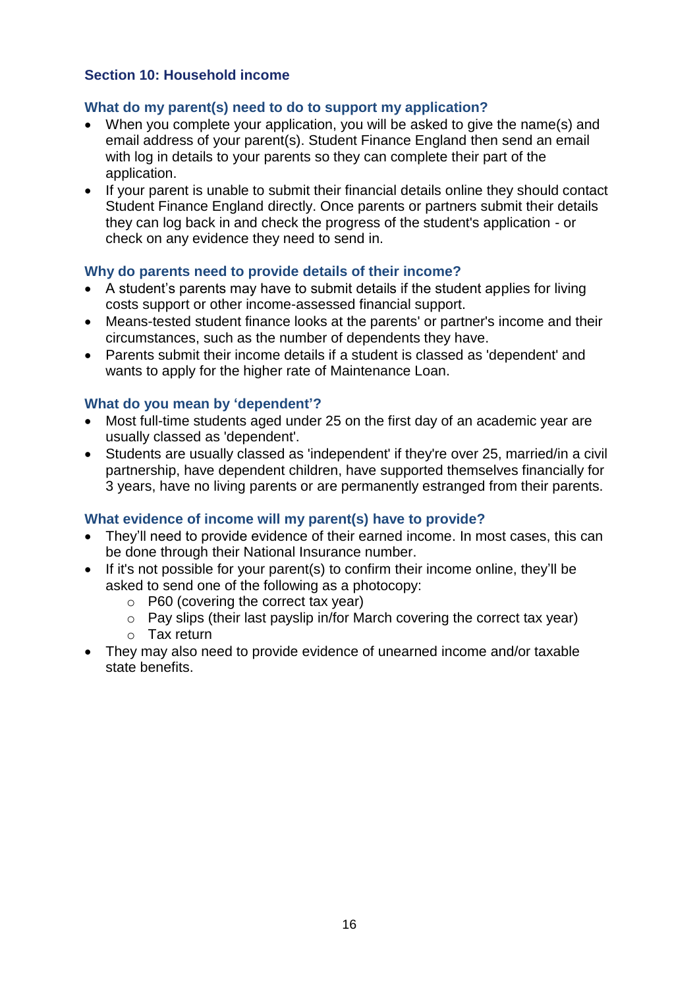# <span id="page-15-0"></span>**Section 10: Household income**

# **What do my parent(s) need to do to support my application?**

- When you complete your application, you will be asked to give the name(s) and email address of your parent(s). Student Finance England then send an email with log in details to your parents so they can complete their part of the application.
- If your parent is unable to submit their financial details online they should contact Student Finance England directly. Once parents or partners submit their details they can log back in and check the progress of the student's application - or check on any evidence they need to send in.

### **Why do parents need to provide details of their income?**

- A student's parents may have to submit details if the student applies for living costs support or other income-assessed financial support.
- Means-tested student finance looks at the parents' or partner's income and their circumstances, such as the number of dependents they have.
- Parents submit their income details if a student is classed as 'dependent' and wants to apply for the higher rate of Maintenance Loan.

### **What do you mean by 'dependent'?**

- Most full-time students aged under 25 on the first day of an academic year are usually classed as 'dependent'.
- Students are usually classed as 'independent' if they're over 25, married/in a civil partnership, have dependent children, have supported themselves financially for 3 years, have no living parents or are permanently estranged from their parents.

### **What evidence of income will my parent(s) have to provide?**

- They'll need to provide evidence of their earned income. In most cases, this can be done through their National Insurance number.
- If it's not possible for your parent(s) to confirm their income online, they'll be asked to send one of the following as a photocopy:
	- o P60 (covering the correct tax year)
	- o Pay slips (their last payslip in/for March covering the correct tax year)
	- o Tax return
- They may also need to provide evidence of unearned income and/or taxable state benefits.